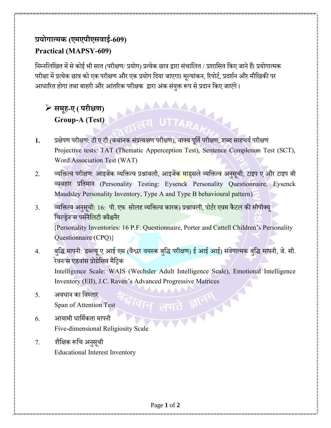## **प्रयोगात्मक (एमएपीएसवाई-609) Practical (MAPSY-609)**

निम्नलिखित में से कोई भी सात (परीक्षण/ प्रयोग) प्रत्येक छात्र द्वारा संचालित / प्रशासित किए जाने हैं। प्रयोगात्मक परीक्षा में प्रत्येक छात्र को एक परीक्षण और एक प्रयोग दिया जाएगा। मूल्यांकन, रिपोर्ट, प्रदर्शन और मौखिकी पर आधारित होगा तथा बाहरी और आंतरिक परीक्षक द्वारा अंक संयुक्त रूप से प्रदान किए जाएंगे।

## ➢ **समूह-ए ( परीक्षण)** समूह-ए ( परीक्षण)<br>Group-A (Test)<br>विद्यापाली स्थान का स्थान करने होता है।

- 1. प्रक्षेपण परीक्षण: टी ए टी (कथानक संप्रत्यक्षण परीक्षण), वाक्य पर्ति परीक्षण, शब्द साहचर्य परीक्षण Projective tests: TAT (Thematic Apperception Test), Sentence Completion Test (SCT), Word Association Test (WAT)
- 2. व्यक्तित्व परीक्षण: आइजेंक व्यक्तित्व प्रश्नावली, आइजें<mark>क माड्</mark>सले व्यक्तित्व अनुसूची, टाइप ए और टाइप बी व्यवहार प्रनतमाि (Personality Testing: Eysenck Personality Questionnaire, Eysenck Maudsley Personality Inventory, Type A and Type B behavioural pattern)
- 3. व्यक्तित्व अनुसूची<mark>: 16</mark>: पी. एफ सोलह व्यक्तित्व कारक) प्रश्नावली, पोर्टर एवम कैटल की सीपीक्यू चिल्डेन'स पर्सनैलिटी क्वैश्चनैर {Personality Inventories: 16 P.F. Questionnaire, Porter and Cattell Children's Personality Questionnaire (CPQ)}
- 4. बुद्धि मापनी: डब्ल्यू ए आई एस (वैश्लर वयस्क बुद्धि परीक्षण) ई आई आई) संवेगात्मक बुद्धि मापनी, जे. सी. रेवन'स एडवांस प्रोग्रेसिव मैटिक Intelligence Scale: WAIS (Wechsler Adult Intelligence Scale), Emotional Intelligence Inventory (EII), J.C. Raven's Advanced Progressive Matrices
- 5. अवधान का विस्तार Span of Attention Test
- $6.$  आयामी धार्मिकता मापनी Five-dimensional Religiosity Scale
- 7. शैक्षिक रूचि अनसची Educational Interest Inventory